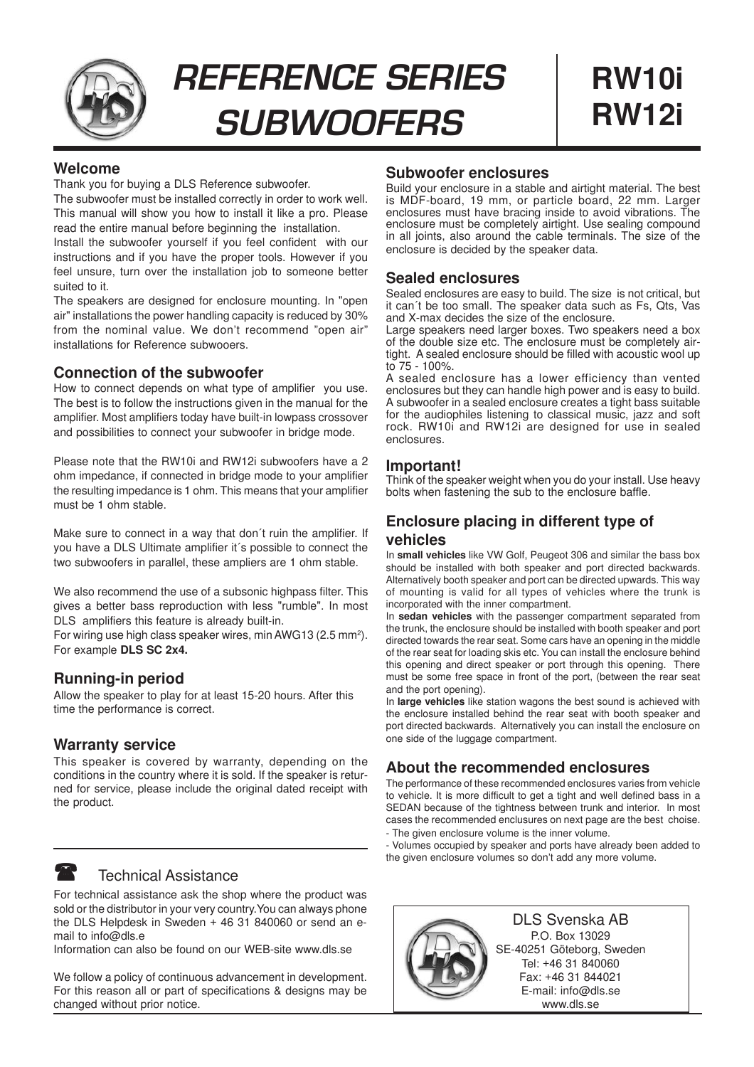

**REFERENCE SERIES SUBWOOFERS**

## **Welcome**

Thank you for buying a DLS Reference subwoofer.

The subwoofer must be installed correctly in order to work well. This manual will show you how to install it like a pro. Please read the entire manual before beginning the installation.

Install the subwoofer yourself if you feel confident with our instructions and if you have the proper tools. However if you feel unsure, turn over the installation job to someone better suited to it.

The speakers are designed for enclosure mounting. In "open air" installations the power handling capacity is reduced by 30% from the nominal value. We don't recommend "open air" installations for Reference subwooers.

# **Connection of the subwoofer**

How to connect depends on what type of amplifier you use. The best is to follow the instructions given in the manual for the amplifier. Most amplifiers today have built-in lowpass crossover and possibilities to connect your subwoofer in bridge mode.

Please note that the RW10i and RW12i subwoofers have a 2 ohm impedance, if connected in bridge mode to your amplifier the resulting impedance is 1 ohm. This means that your amplifier must be 1 ohm stable.

Make sure to connect in a way that don´t ruin the amplifier. If you have a DLS Ultimate amplifier it´s possible to connect the two subwoofers in parallel, these ampliers are 1 ohm stable.

We also recommend the use of a subsonic highpass filter. This gives a better bass reproduction with less "rumble". In most DLS amplifiers this feature is already built-in.

For wiring use high class speaker wires, min AWG13 (2.5 mm<sup>2</sup>). For example **DLS SC 2x4.**

# **Running-in period**

Allow the speaker to play for at least 15-20 hours. After this time the performance is correct.

# **Warranty service**

This speaker is covered by warranty, depending on the conditions in the country where it is sold. If the speaker is returned for service, please include the original dated receipt with the product.

## Technical Assistance

For technical assistance ask the shop where the product was sold or the distributor in your very country.You can always phone the DLS Helpdesk in Sweden + 46 31 840060 or send an email to info@dls.e

Information can also be found on our WEB-site www.dls.se

We follow a policy of continuous advancement in development. For this reason all or part of specifications & designs may be changed without prior notice.

### **Subwoofer enclosures**

Build your enclosure in a stable and airtight material. The best is MDF-board, 19 mm, or particle board, 22 mm. Larger enclosures must have bracing inside to avoid vibrations. The enclosure must be completely airtight. Use sealing compound in all joints, also around the cable terminals. The size of the enclosure is decided by the speaker data.

# **Sealed enclosures**

Sealed enclosures are easy to build. The size is not critical, but it can´t be too small. The speaker data such as Fs, Qts, Vas and X-max decides the size of the enclosure.

Large speakers need larger boxes. Two speakers need a box of the double size etc. The enclosure must be completely airtight. A sealed enclosure should be filled with acoustic wool up to 75 - 100%.

A sealed enclosure has a lower efficiency than vented enclosures but they can handle high power and is easy to build. A subwoofer in a sealed enclosure creates a tight bass suitable for the audiophiles listening to classical music, jazz and soft rock. RW10i and RW12i are designed for use in sealed enclosures.

### **Important!**

Think of the speaker weight when you do your install. Use heavy bolts when fastening the sub to the enclosure baffle.

# **Enclosure placing in different type of vehicles**

In **small vehicles** like VW Golf, Peugeot 306 and similar the bass box should be installed with both speaker and port directed backwards. Alternatively booth speaker and port can be directed upwards. This way of mounting is valid for all types of vehicles where the trunk is incorporated with the inner compartment.

In **sedan vehicles** with the passenger compartment separated from the trunk, the enclosure should be installed with booth speaker and port directed towards the rear seat. Some cars have an opening in the middle of the rear seat for loading skis etc. You can install the enclosure behind this opening and direct speaker or port through this opening. There must be some free space in front of the port, (between the rear seat and the port opening).

In **large vehicles** like station wagons the best sound is achieved with the enclosure installed behind the rear seat with booth speaker and port directed backwards. Alternatively you can install the enclosure on one side of the luggage compartment.

# **About the recommended enclosures**

The performance of these recommended enclosures varies from vehicle to vehicle. It is more difficult to get a tight and well defined bass in a SEDAN because of the tightness between trunk and interior. In most cases the recommended enclusures on next page are the best choise. - The given enclosure volume is the inner volume.

- Volumes occupied by speaker and ports have already been added to the given enclosure volumes so don't add any more volume.